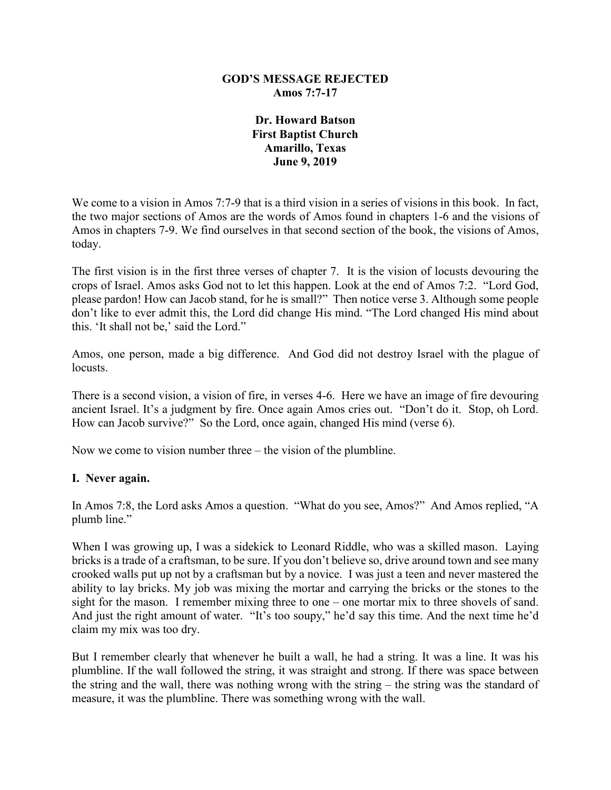#### **GOD'S MESSAGE REJECTED Amos 7:7-17**

### **Dr. Howard Batson First Baptist Church Amarillo, Texas June 9, 2019**

We come to a vision in Amos 7:7-9 that is a third vision in a series of visions in this book. In fact, the two major sections of Amos are the words of Amos found in chapters 1-6 and the visions of Amos in chapters 7-9. We find ourselves in that second section of the book, the visions of Amos, today.

The first vision is in the first three verses of chapter 7. It is the vision of locusts devouring the crops of Israel. Amos asks God not to let this happen. Look at the end of Amos 7:2. "Lord God, please pardon! How can Jacob stand, for he is small?" Then notice verse 3. Although some people don't like to ever admit this, the Lord did change His mind. "The Lord changed His mind about this. 'It shall not be,' said the Lord."

Amos, one person, made a big difference. And God did not destroy Israel with the plague of locusts.

There is a second vision, a vision of fire, in verses 4-6. Here we have an image of fire devouring ancient Israel. It's a judgment by fire. Once again Amos cries out. "Don't do it. Stop, oh Lord. How can Jacob survive?" So the Lord, once again, changed His mind (verse 6).

Now we come to vision number three – the vision of the plumbline.

# **I. Never again.**

In Amos 7:8, the Lord asks Amos a question. "What do you see, Amos?" And Amos replied, "A plumb line."

When I was growing up, I was a sidekick to Leonard Riddle, who was a skilled mason. Laying bricks is a trade of a craftsman, to be sure. If you don't believe so, drive around town and see many crooked walls put up not by a craftsman but by a novice. I was just a teen and never mastered the ability to lay bricks. My job was mixing the mortar and carrying the bricks or the stones to the sight for the mason. I remember mixing three to one – one mortar mix to three shovels of sand. And just the right amount of water. "It's too soupy," he'd say this time. And the next time he'd claim my mix was too dry.

But I remember clearly that whenever he built a wall, he had a string. It was a line. It was his plumbline. If the wall followed the string, it was straight and strong. If there was space between the string and the wall, there was nothing wrong with the string – the string was the standard of measure, it was the plumbline. There was something wrong with the wall.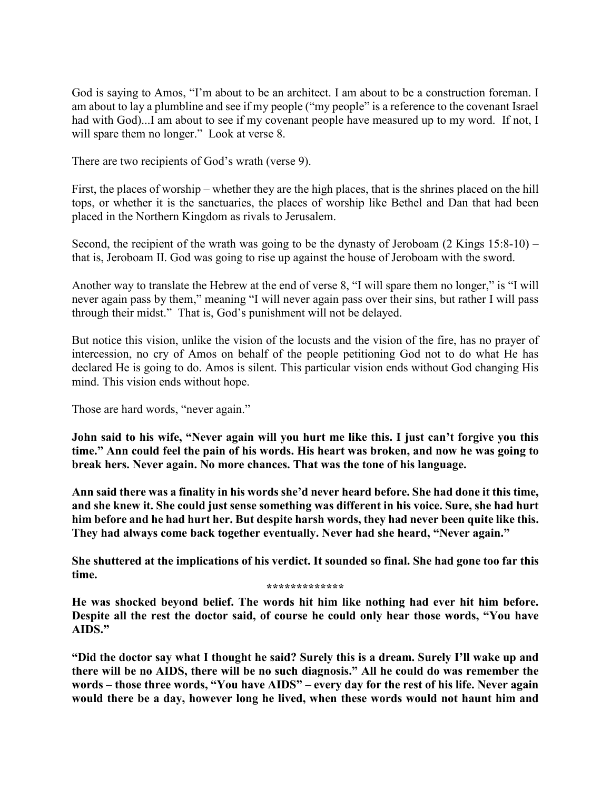God is saying to Amos, "I'm about to be an architect. I am about to be a construction foreman. I am about to lay a plumbline and see if my people ("my people" is a reference to the covenant Israel had with God)...I am about to see if my covenant people have measured up to my word. If not, I will spare them no longer." Look at verse 8.

There are two recipients of God's wrath (verse 9).

First, the places of worship – whether they are the high places, that is the shrines placed on the hill tops, or whether it is the sanctuaries, the places of worship like Bethel and Dan that had been placed in the Northern Kingdom as rivals to Jerusalem.

Second, the recipient of the wrath was going to be the dynasty of Jeroboam (2 Kings 15:8-10) – that is, Jeroboam II. God was going to rise up against the house of Jeroboam with the sword.

Another way to translate the Hebrew at the end of verse 8, "I will spare them no longer," is "I will never again pass by them," meaning "I will never again pass over their sins, but rather I will pass through their midst." That is, God's punishment will not be delayed.

But notice this vision, unlike the vision of the locusts and the vision of the fire, has no prayer of intercession, no cry of Amos on behalf of the people petitioning God not to do what He has declared He is going to do. Amos is silent. This particular vision ends without God changing His mind. This vision ends without hope.

Those are hard words, "never again."

**John said to his wife, "Never again will you hurt me like this. I just can't forgive you this time." Ann could feel the pain of his words. His heart was broken, and now he was going to break hers. Never again. No more chances. That was the tone of his language.**

**Ann said there was a finality in his words she'd never heard before. She had done it this time, and she knew it. She could just sense something was different in his voice. Sure, she had hurt him before and he had hurt her. But despite harsh words, they had never been quite like this. They had always come back together eventually. Never had she heard, "Never again."**

**She shuttered at the implications of his verdict. It sounded so final. She had gone too far this time.** 

**\*\*\*\*\*\*\*\*\*\*\*\*\***

**He was shocked beyond belief. The words hit him like nothing had ever hit him before. Despite all the rest the doctor said, of course he could only hear those words, "You have AIDS."**

**"Did the doctor say what I thought he said? Surely this is a dream. Surely I'll wake up and there will be no AIDS, there will be no such diagnosis." All he could do was remember the words – those three words, "You have AIDS" – every day for the rest of his life. Never again would there be a day, however long he lived, when these words would not haunt him and**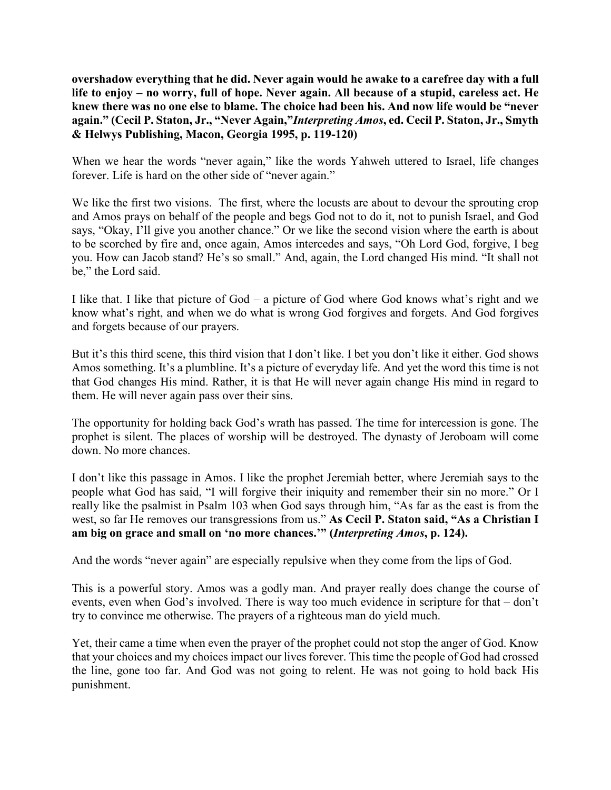**overshadow everything that he did. Never again would he awake to a carefree day with a full life to enjoy – no worry, full of hope. Never again. All because of a stupid, careless act. He knew there was no one else to blame. The choice had been his. And now life would be "never again." (Cecil P. Staton, Jr., "Never Again,"***Interpreting Amos***, ed. Cecil P. Staton, Jr., Smyth & Helwys Publishing, Macon, Georgia 1995, p. 119-120)**

When we hear the words "never again," like the words Yahweh uttered to Israel, life changes forever. Life is hard on the other side of "never again."

We like the first two visions. The first, where the locusts are about to devour the sprouting crop and Amos prays on behalf of the people and begs God not to do it, not to punish Israel, and God says, "Okay, I'll give you another chance." Or we like the second vision where the earth is about to be scorched by fire and, once again, Amos intercedes and says, "Oh Lord God, forgive, I beg you. How can Jacob stand? He's so small." And, again, the Lord changed His mind. "It shall not be," the Lord said.

I like that. I like that picture of God – a picture of God where God knows what's right and we know what's right, and when we do what is wrong God forgives and forgets. And God forgives and forgets because of our prayers.

But it's this third scene, this third vision that I don't like. I bet you don't like it either. God shows Amos something. It's a plumbline. It's a picture of everyday life. And yet the word this time is not that God changes His mind. Rather, it is that He will never again change His mind in regard to them. He will never again pass over their sins.

The opportunity for holding back God's wrath has passed. The time for intercession is gone. The prophet is silent. The places of worship will be destroyed. The dynasty of Jeroboam will come down. No more chances.

I don't like this passage in Amos. I like the prophet Jeremiah better, where Jeremiah says to the people what God has said, "I will forgive their iniquity and remember their sin no more." Or I really like the psalmist in Psalm 103 when God says through him, "As far as the east is from the west, so far He removes our transgressions from us." **As Cecil P. Staton said, "As a Christian I am big on grace and small on 'no more chances.'" (***Interpreting Amos***, p. 124).** 

And the words "never again" are especially repulsive when they come from the lips of God.

This is a powerful story. Amos was a godly man. And prayer really does change the course of events, even when God's involved. There is way too much evidence in scripture for that – don't try to convince me otherwise. The prayers of a righteous man do yield much.

Yet, their came a time when even the prayer of the prophet could not stop the anger of God. Know that your choices and my choices impact our lives forever. This time the people of God had crossed the line, gone too far. And God was not going to relent. He was not going to hold back His punishment.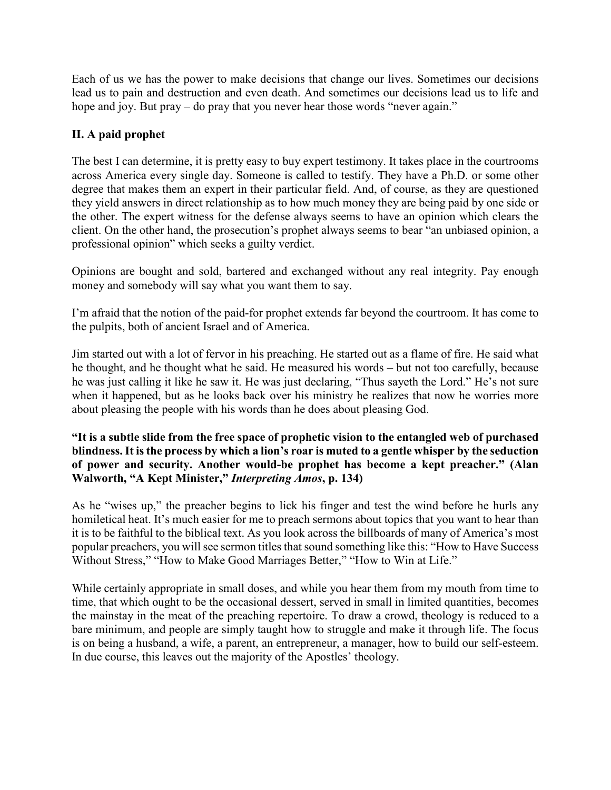Each of us we has the power to make decisions that change our lives. Sometimes our decisions lead us to pain and destruction and even death. And sometimes our decisions lead us to life and hope and joy. But pray – do pray that you never hear those words "never again."

# **II. A paid prophet**

The best I can determine, it is pretty easy to buy expert testimony. It takes place in the courtrooms across America every single day. Someone is called to testify. They have a Ph.D. or some other degree that makes them an expert in their particular field. And, of course, as they are questioned they yield answers in direct relationship as to how much money they are being paid by one side or the other. The expert witness for the defense always seems to have an opinion which clears the client. On the other hand, the prosecution's prophet always seems to bear "an unbiased opinion, a professional opinion" which seeks a guilty verdict.

Opinions are bought and sold, bartered and exchanged without any real integrity. Pay enough money and somebody will say what you want them to say.

I'm afraid that the notion of the paid-for prophet extends far beyond the courtroom. It has come to the pulpits, both of ancient Israel and of America.

Jim started out with a lot of fervor in his preaching. He started out as a flame of fire. He said what he thought, and he thought what he said. He measured his words – but not too carefully, because he was just calling it like he saw it. He was just declaring, "Thus sayeth the Lord." He's not sure when it happened, but as he looks back over his ministry he realizes that now he worries more about pleasing the people with his words than he does about pleasing God.

### **"It is a subtle slide from the free space of prophetic vision to the entangled web of purchased blindness. It is the process by which a lion's roar is muted to a gentle whisper by the seduction of power and security. Another would-be prophet has become a kept preacher." (Alan Walworth, "A Kept Minister,"** *Interpreting Amos***, p. 134)**

As he "wises up," the preacher begins to lick his finger and test the wind before he hurls any homiletical heat. It's much easier for me to preach sermons about topics that you want to hear than it is to be faithful to the biblical text. As you look across the billboards of many of America's most popular preachers, you will see sermon titles that sound something like this: "How to Have Success Without Stress," "How to Make Good Marriages Better," "How to Win at Life."

While certainly appropriate in small doses, and while you hear them from my mouth from time to time, that which ought to be the occasional dessert, served in small in limited quantities, becomes the mainstay in the meat of the preaching repertoire. To draw a crowd, theology is reduced to a bare minimum, and people are simply taught how to struggle and make it through life. The focus is on being a husband, a wife, a parent, an entrepreneur, a manager, how to build our self-esteem. In due course, this leaves out the majority of the Apostles' theology.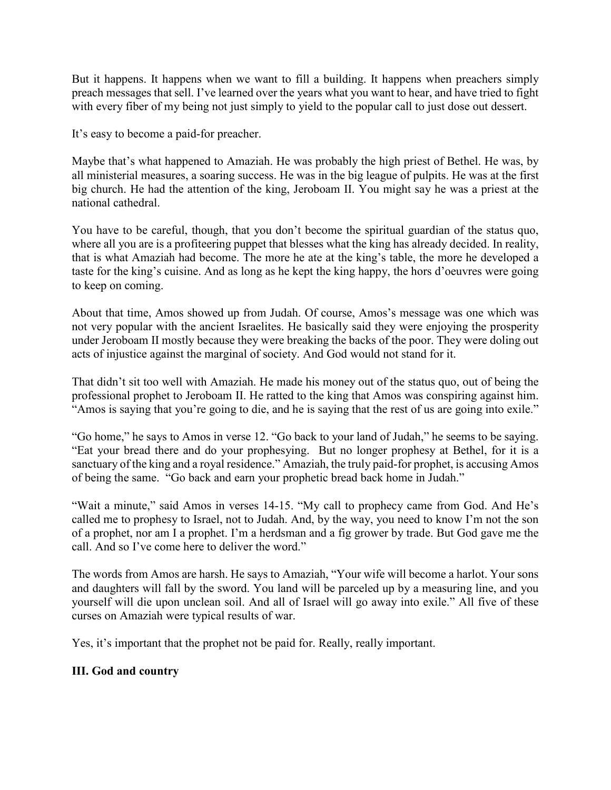But it happens. It happens when we want to fill a building. It happens when preachers simply preach messages that sell. I've learned over the years what you want to hear, and have tried to fight with every fiber of my being not just simply to yield to the popular call to just dose out dessert.

It's easy to become a paid-for preacher.

Maybe that's what happened to Amaziah. He was probably the high priest of Bethel. He was, by all ministerial measures, a soaring success. He was in the big league of pulpits. He was at the first big church. He had the attention of the king, Jeroboam II. You might say he was a priest at the national cathedral.

You have to be careful, though, that you don't become the spiritual guardian of the status quo, where all you are is a profiteering puppet that blesses what the king has already decided. In reality, that is what Amaziah had become. The more he ate at the king's table, the more he developed a taste for the king's cuisine. And as long as he kept the king happy, the hors d'oeuvres were going to keep on coming.

About that time, Amos showed up from Judah. Of course, Amos's message was one which was not very popular with the ancient Israelites. He basically said they were enjoying the prosperity under Jeroboam II mostly because they were breaking the backs of the poor. They were doling out acts of injustice against the marginal of society. And God would not stand for it.

That didn't sit too well with Amaziah. He made his money out of the status quo, out of being the professional prophet to Jeroboam II. He ratted to the king that Amos was conspiring against him. "Amos is saying that you're going to die, and he is saying that the rest of us are going into exile."

"Go home," he says to Amos in verse 12. "Go back to your land of Judah," he seems to be saying. "Eat your bread there and do your prophesying. But no longer prophesy at Bethel, for it is a sanctuary of the king and a royal residence." Amaziah, the truly paid-for prophet, is accusing Amos of being the same. "Go back and earn your prophetic bread back home in Judah."

"Wait a minute," said Amos in verses 14-15. "My call to prophecy came from God. And He's called me to prophesy to Israel, not to Judah. And, by the way, you need to know I'm not the son of a prophet, nor am I a prophet. I'm a herdsman and a fig grower by trade. But God gave me the call. And so I've come here to deliver the word."

The words from Amos are harsh. He says to Amaziah, "Your wife will become a harlot. Your sons and daughters will fall by the sword. You land will be parceled up by a measuring line, and you yourself will die upon unclean soil. And all of Israel will go away into exile." All five of these curses on Amaziah were typical results of war.

Yes, it's important that the prophet not be paid for. Really, really important.

# **III. God and country**